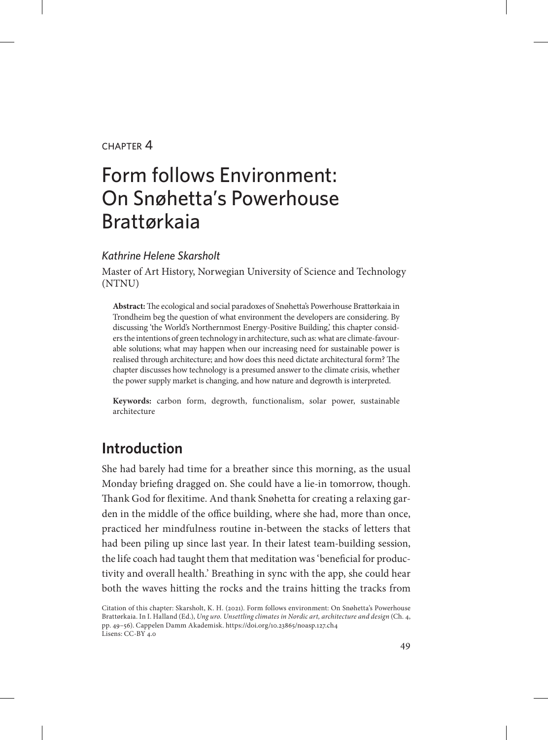#### $CHAPTER$  $4$

# Form follows Environment: On Snøhetta's Powerhouse Brattørkaia

#### *Kathrine Helene Skarsholt*

Master of Art History, Norwegian University of Science and Technology (NTNU)

**Abstract:** The ecological and social paradoxes of Snøhetta's Powerhouse Brattørkaia in Trondheim beg the question of what environment the developers are considering. By discussing 'the World's Northernmost Energy-Positive Building,' this chapter considers the intentions of green technology in architecture, such as: what are climate-favourable solutions; what may happen when our increasing need for sustainable power is realised through architecture; and how does this need dictate architectural form? The chapter discusses how technology is a presumed answer to the climate crisis, whether the power supply market is changing, and how nature and degrowth is interpreted.

**Keywords:** carbon form, degrowth, functionalism, solar power, sustainable architecture

# **Introduction**

She had barely had time for a breather since this morning, as the usual Monday briefing dragged on. She could have a lie-in tomorrow, though. Thank God for flexitime. And thank Snøhetta for creating a relaxing garden in the middle of the office building, where she had, more than once, practiced her mindfulness routine in-between the stacks of letters that had been piling up since last year. In their latest team-building session, the life coach had taught them that meditation was 'beneficial for productivity and overall health.' Breathing in sync with the app, she could hear both the waves hitting the rocks and the trains hitting the tracks from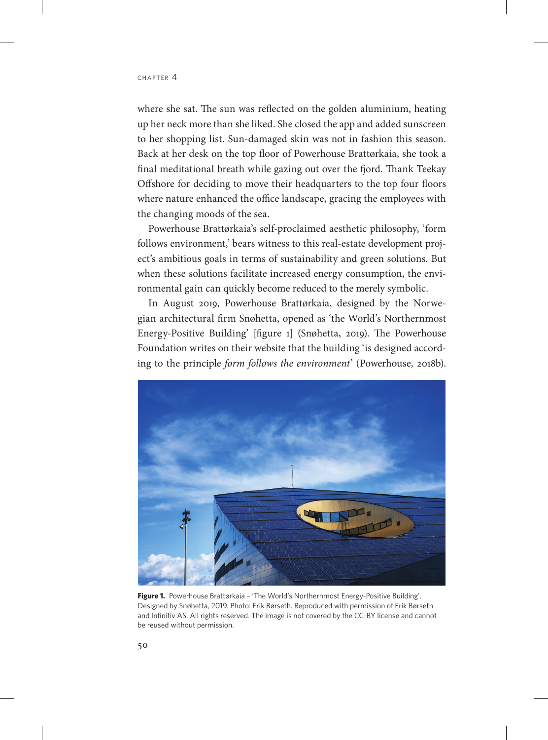where she sat. The sun was reflected on the golden aluminium, heating up her neck more than she liked. She closed the app and added sunscreen to her shopping list. Sun-damaged skin was not in fashion this season. Back at her desk on the top floor of Powerhouse Brattørkaia, she took a final meditational breath while gazing out over the fjord. Thank Teekay Offshore for deciding to move their headquarters to the top four floors where nature enhanced the office landscape, gracing the employees with the changing moods of the sea.

Powerhouse Brattørkaia's self-proclaimed aesthetic philosophy, 'form follows environment,' bears witness to this real-estate development project's ambitious goals in terms of sustainability and green solutions. But when these solutions facilitate increased energy consumption, the environmental gain can quickly become reduced to the merely symbolic.

In August 2019, Powerhouse Brattørkaia, designed by the Norwegian architectural firm Snøhetta, opened as 'the World's Northernmost Energy-Positive Building' [figure 1] (Snøhetta, 2019). The Powerhouse Foundation writes on their website that the building 'is designed according to the principle *form follows the environment*' (Powerhouse*,* 2018b).



Figure 1. Powerhouse Brattørkaia - 'The World's Northernmost Energy-Positive Building'. Designed by Snøhetta, 2019. Photo: Erik Børseth. Reproduced with permission of Erik Børseth and Infinitiv AS. All rights reserved. The image is not covered by the CC-BY license and cannot be reused without permission.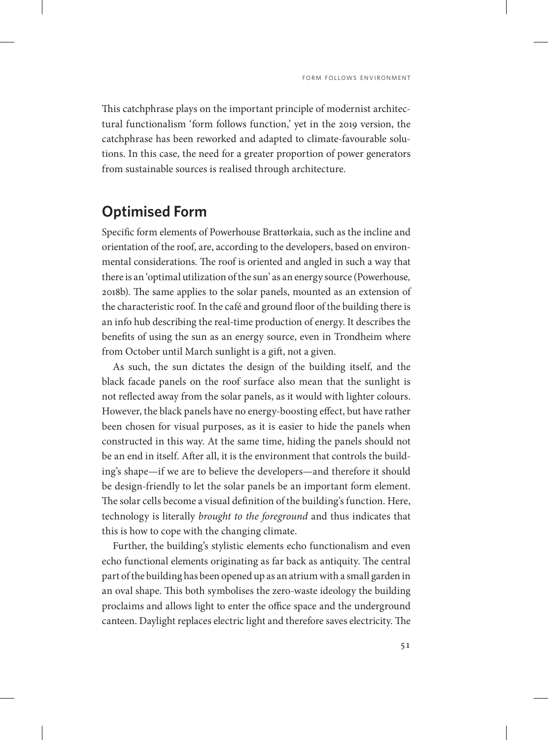This catchphrase plays on the important principle of modernist architectural functionalism 'form follows function,' yet in the 2019 version, the catchphrase has been reworked and adapted to climate-favourable solutions. In this case, the need for a greater proportion of power generators from sustainable sources is realised through architecture.

## **Optimised Form**

Specific form elements of Powerhouse Brattørkaia, such as the incline and orientation of the roof, are, according to the developers, based on environmental considerations. The roof is oriented and angled in such a way that there is an 'optimal utilization of the sun' as an energy source (Powerhouse*,*  2018b). The same applies to the solar panels, mounted as an extension of the characteristic roof. In the café and ground floor of the building there is an info hub describing the real-time production of energy. It describes the benefits of using the sun as an energy source, even in Trondheim where from October until March sunlight is a gift, not a given.

As such, the sun dictates the design of the building itself, and the black facade panels on the roof surface also mean that the sunlight is not reflected away from the solar panels, as it would with lighter colours. However, the black panels have no energy-boosting effect, but have rather been chosen for visual purposes, as it is easier to hide the panels when constructed in this way. At the same time, hiding the panels should not be an end in itself. After all, it is the environment that controls the building's shape—if we are to believe the developers—and therefore it should be design-friendly to let the solar panels be an important form element. The solar cells become a visual definition of the building's function. Here, technology is literally *brought to the foreground* and thus indicates that this is how to cope with the changing climate.

Further, the building's stylistic elements echo functionalism and even echo functional elements originating as far back as antiquity. The central part of the building has been opened up as an atrium with a small garden in an oval shape. This both symbolises the zero-waste ideology the building proclaims and allows light to enter the office space and the underground canteen. Daylight replaces electric light and therefore saves electricity. The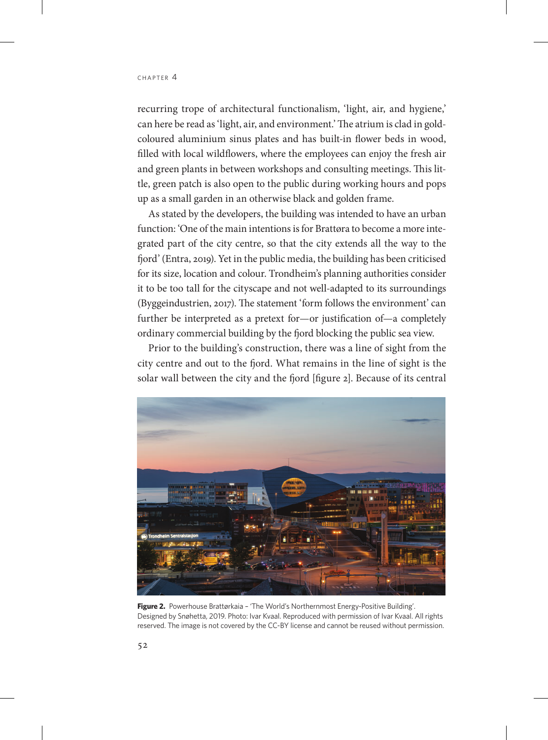recurring trope of architectural functionalism, 'light, air, and hygiene,' can here be read as 'light, air, and environment.' The atrium is clad in goldcoloured aluminium sinus plates and has built-in flower beds in wood, filled with local wildflowers, where the employees can enjoy the fresh air and green plants in between workshops and consulting meetings. This little, green patch is also open to the public during working hours and pops up as a small garden in an otherwise black and golden frame.

As stated by the developers, the building was intended to have an urban function: 'One of the main intentions is for Brattøra to become a more integrated part of the city centre, so that the city extends all the way to the fjord' (Entra, 2019). Yet in the public media, the building has been criticised for its size, location and colour. Trondheim's planning authorities consider it to be too tall for the cityscape and not well-adapted to its surroundings (Byggeindustrien, 2017). The statement 'form follows the environment' can further be interpreted as a pretext for—or justification of—a completely ordinary commercial building by the fjord blocking the public sea view.

Prior to the building's construction, there was a line of sight from the city centre and out to the fjord. What remains in the line of sight is the solar wall between the city and the fjord [figure 2]. Because of its central



Figure 2. Powerhouse Brattørkaia - 'The World's Northernmost Energy-Positive Building'. Designed by Snøhetta, 2019. Photo: Ivar Kvaal. Reproduced with permission of Ivar Kvaal. All rights reserved. The image is not covered by the CC-BY license and cannot be reused without permission.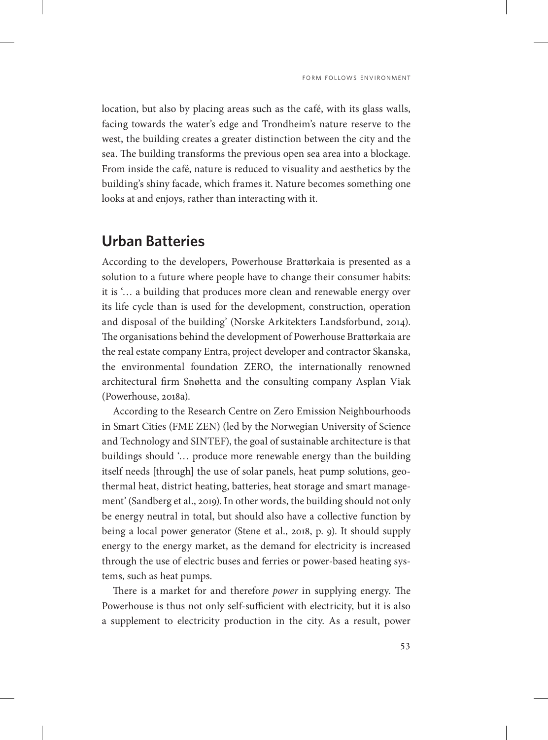location, but also by placing areas such as the café, with its glass walls, facing towards the water's edge and Trondheim's nature reserve to the west, the building creates a greater distinction between the city and the sea. The building transforms the previous open sea area into a blockage. From inside the café, nature is reduced to visuality and aesthetics by the building's shiny facade, which frames it. Nature becomes something one looks at and enjoys, rather than interacting with it.

#### **Urban Batteries**

According to the developers, Powerhouse Brattørkaia is presented as a solution to a future where people have to change their consumer habits: it is '… a building that produces more clean and renewable energy over its life cycle than is used for the development, construction, operation and disposal of the building' (Norske Arkitekters Landsforbund, 2014). The organisations behind the development of Powerhouse Brattørkaia are the real estate company Entra, project developer and contractor Skanska, the environmental foundation ZERO, the internationally renowned architectural firm Snøhetta and the consulting company Asplan Viak (Powerhouse, 2018a).

According to the Research Centre on Zero Emission Neighbourhoods in Smart Cities (FME ZEN) (led by the Norwegian University of Science and Technology and SINTEF), the goal of sustainable architecture is that buildings should '… produce more renewable energy than the building itself needs [through] the use of solar panels, heat pump solutions, geothermal heat, district heating, batteries, heat storage and smart management' (Sandberg et al., 2019). In other words, the building should not only be energy neutral in total, but should also have a collective function by being a local power generator (Stene et al., 2018, p. 9). It should supply energy to the energy market, as the demand for electricity is increased through the use of electric buses and ferries or power-based heating systems, such as heat pumps.

There is a market for and therefore *power* in supplying energy. The Powerhouse is thus not only self-sufficient with electricity, but it is also a supplement to electricity production in the city. As a result, power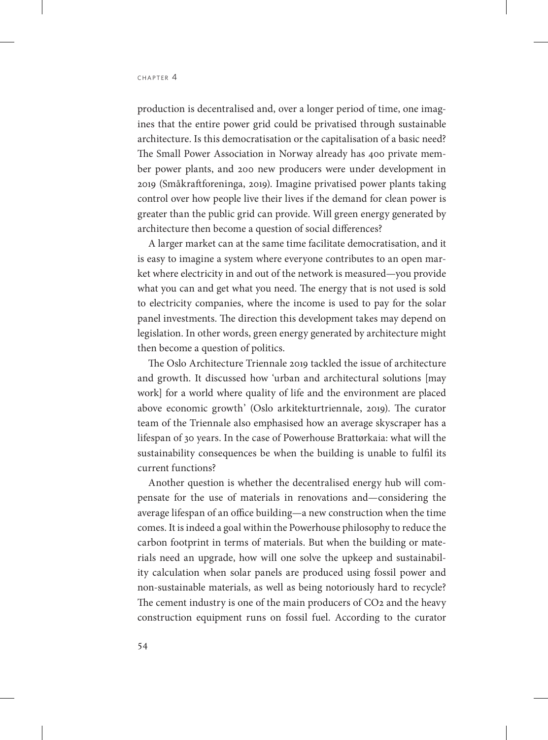production is decentralised and, over a longer period of time, one imagines that the entire power grid could be privatised through sustainable architecture. Is this democratisation or the capitalisation of a basic need? The Small Power Association in Norway already has 400 private member power plants, and 200 new producers were under development in 2019 (Småkraftforeninga, 2019). Imagine privatised power plants taking control over how people live their lives if the demand for clean power is greater than the public grid can provide. Will green energy generated by architecture then become a question of social differences?

A larger market can at the same time facilitate democratisation, and it is easy to imagine a system where everyone contributes to an open market where electricity in and out of the network is measured—you provide what you can and get what you need. The energy that is not used is sold to electricity companies, where the income is used to pay for the solar panel investments. The direction this development takes may depend on legislation. In other words, green energy generated by architecture might then become a question of politics.

The Oslo Architecture Triennale 2019 tackled the issue of architecture and growth. It discussed how 'urban and architectural solutions [may work] for a world where quality of life and the environment are placed above economic growth' (Oslo arkitekturtriennale, 2019). The curator team of the Triennale also emphasised how an average skyscraper has a lifespan of 30 years. In the case of Powerhouse Brattørkaia: what will the sustainability consequences be when the building is unable to fulfil its current functions?

Another question is whether the decentralised energy hub will compensate for the use of materials in renovations and—considering the average lifespan of an office building—a new construction when the time comes. It is indeed a goal within the Powerhouse philosophy to reduce the carbon footprint in terms of materials. But when the building or materials need an upgrade, how will one solve the upkeep and sustainability calculation when solar panels are produced using fossil power and non-sustainable materials, as well as being notoriously hard to recycle? The cement industry is one of the main producers of CO<sub>2</sub> and the heavy construction equipment runs on fossil fuel. According to the curator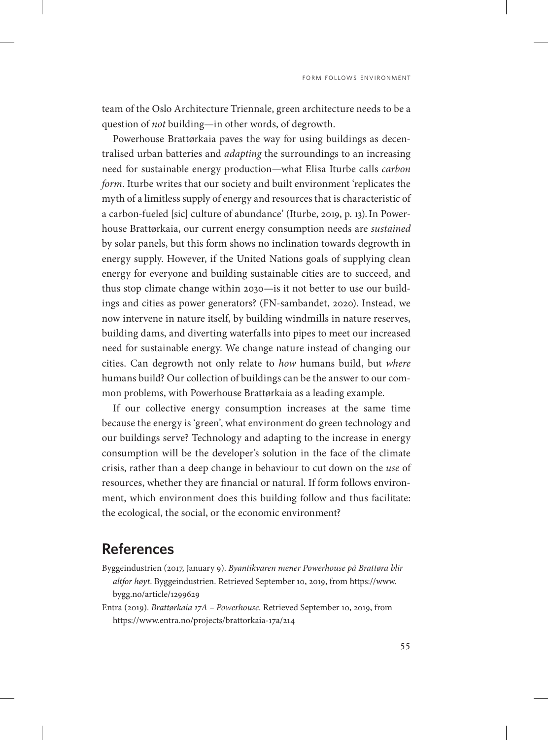team of the Oslo Architecture Triennale, green architecture needs to be a question of *not* building—in other words, of degrowth.

Powerhouse Brattørkaia paves the way for using buildings as decentralised urban batteries and *adapting* the surroundings to an increasing need for sustainable energy production—what Elisa Iturbe calls *carbon form*. Iturbe writes that our society and built environment 'replicates the myth of a limitless supply of energy and resources that is characteristic of a carbon-fueled [sic] culture of abundance' (Iturbe, 2019, p. 13).In Powerhouse Brattørkaia, our current energy consumption needs are *sustained* by solar panels, but this form shows no inclination towards degrowth in energy supply. However, if the United Nations goals of supplying clean energy for everyone and building sustainable cities are to succeed, and thus stop climate change within 2030—is it not better to use our buildings and cities as power generators? (FN-sambandet, 2020). Instead, we now intervene in nature itself, by building windmills in nature reserves, building dams, and diverting waterfalls into pipes to meet our increased need for sustainable energy. We change nature instead of changing our cities. Can degrowth not only relate to *how* humans build, but *where* humans build? Our collection of buildings can be the answer to our common problems, with Powerhouse Brattørkaia as a leading example.

If our collective energy consumption increases at the same time because the energy is 'green', what environment do green technology and our buildings serve? Technology and adapting to the increase in energy consumption will be the developer's solution in the face of the climate crisis, rather than a deep change in behaviour to cut down on the *use* of resources, whether they are financial or natural. If form follows environment, which environment does this building follow and thus facilitate: the ecological, the social, or the economic environment?

### **References**

- Byggeindustrien (2017, January 9). *Byantikvaren mener Powerhouse på Brattøra blir altfor høyt*. Byggeindustrien. Retrieved September 10, 2019, from [https://www.](https://www.bygg.no/article/1299629) [bygg.no/article/1299629](https://www.bygg.no/article/1299629)
- Entra (2019). *Brattørkaia 17A Powerhouse*. Retrieved September 10, 2019, from https://www.entra.no/projects/brattorkaia-17a/214